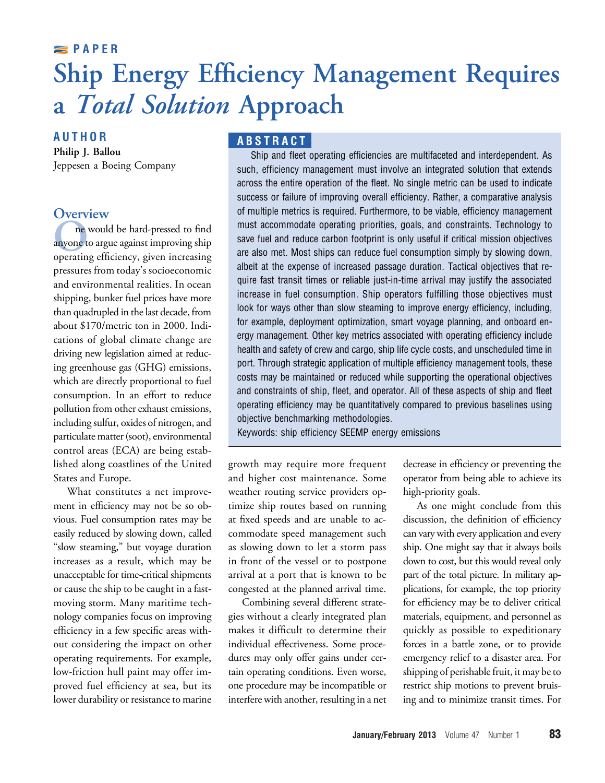# PAPER Ship Energy Efficiency Management Requires <sup>a</sup> Total Solution Approach

## AUTHOR

Philip J. Ballou Jeppesen a Boeing Company

#### **Overview**

The would be hard-pressed to find<br>anyone to argue against improving ship<br>operating efficiency, given increasing anyone to argue against improving ship operating efficiency, given increasing pressures from today's socioeconomic and environmental realities. In ocean shipping, bunker fuel prices have more than quadrupled in the last decade, from about \$170/metric ton in 2000. Indications of global climate change are driving new legislation aimed at reducing greenhouse gas (GHG) emissions, which are directly proportional to fuel consumption. In an effort to reduce pollution from other exhaust emissions, including sulfur, oxides of nitrogen, and particulate matter (soot), environmental control areas (ECA) are being established along coastlines of the United States and Europe.

What constitutes a net improvement in efficiency may not be so obvious. Fuel consumption rates may be easily reduced by slowing down, called "slow steaming," but voyage duration increases as a result, which may be unacceptable for time-critical shipments or cause the ship to be caught in a fastmoving storm. Many maritime technology companies focus on improving efficiency in a few specific areas without considering the impact on other operating requirements. For example, low-friction hull paint may offer improved fuel efficiency at sea, but its lower durability or resistance to marine

## ABSTRACT

Ship and fleet operating efficiencies are multifaceted and interdependent. As such, efficiency management must involve an integrated solution that extends across the entire operation of the fleet. No single metric can be used to indicate success or failure of improving overall efficiency. Rather, a comparative analysis of multiple metrics is required. Furthermore, to be viable, efficiency management must accommodate operating priorities, goals, and constraints. Technology to save fuel and reduce carbon footprint is only useful if critical mission objectives are also met. Most ships can reduce fuel consumption simply by slowing down, albeit at the expense of increased passage duration. Tactical objectives that require fast transit times or reliable just-in-time arrival may justify the associated increase in fuel consumption. Ship operators fulfilling those objectives must look for ways other than slow steaming to improve energy efficiency, including, for example, deployment optimization, smart voyage planning, and onboard energy management. Other key metrics associated with operating efficiency include health and safety of crew and cargo, ship life cycle costs, and unscheduled time in port. Through strategic application of multiple efficiency management tools, these costs may be maintained or reduced while supporting the operational objectives and constraints of ship, fleet, and operator. All of these aspects of ship and fleet operating efficiency may be quantitatively compared to previous baselines using objective benchmarking methodologies.

Keywords: ship efficiency SEEMP energy emissions

growth may require more frequent and higher cost maintenance. Some weather routing service providers optimize ship routes based on running at fixed speeds and are unable to accommodate speed management such as slowing down to let a storm pass in front of the vessel or to postpone arrival at a port that is known to be congested at the planned arrival time.

Combining several different strategies without a clearly integrated plan makes it difficult to determine their individual effectiveness. Some procedures may only offer gains under certain operating conditions. Even worse, one procedure may be incompatible or interfere with another, resulting in a net decrease in efficiency or preventing the operator from being able to achieve its high-priority goals.

As one might conclude from this discussion, the definition of efficiency can vary with every application and every ship. One might say that it always boils down to cost, but this would reveal only part of the total picture. In military applications, for example, the top priority for efficiency may be to deliver critical materials, equipment, and personnel as quickly as possible to expeditionary forces in a battle zone, or to provide emergency relief to a disaster area. For shipping of perishable fruit, it may be to restrict ship motions to prevent bruising and to minimize transit times. For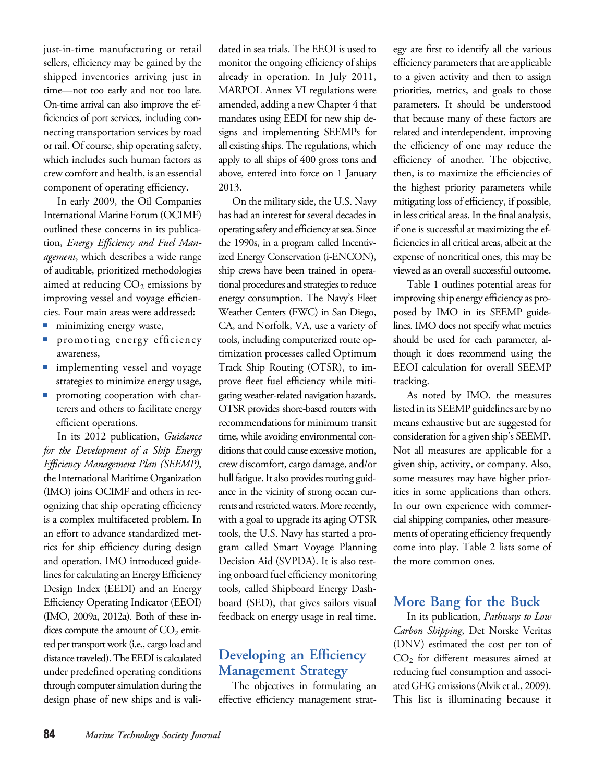just-in-time manufacturing or retail sellers, efficiency may be gained by the shipped inventories arriving just in time—not too early and not too late. On-time arrival can also improve the efficiencies of port services, including connecting transportation services by road or rail. Of course, ship operating safety, which includes such human factors as crew comfort and health, is an essential component of operating efficiency.

In early 2009, the Oil Companies International Marine Forum (OCIMF) outlined these concerns in its publication, Energy Efficiency and Fuel Management, which describes a wide range of auditable, prioritized methodologies aimed at reducing  $CO<sub>2</sub>$  emissions by improving vessel and voyage efficiencies. Four main areas were addressed:

- minimizing energy waste,
- promoting energy efficiency awareness,
- implementing vessel and voyage strategies to minimize energy usage,
- promoting cooperation with charterers and others to facilitate energy efficient operations.

In its 2012 publication, Guidance for the Development of a Ship Energy Efficiency Management Plan (SEEMP), the International Maritime Organization (IMO) joins OCIMF and others in recognizing that ship operating efficiency is a complex multifaceted problem. In an effort to advance standardized metrics for ship efficiency during design and operation, IMO introduced guidelines for calculating an Energy Efficiency Design Index (EEDI) and an Energy Efficiency Operating Indicator (EEOI) (IMO, 2009a, 2012a). Both of these indices compute the amount of  $CO<sub>2</sub>$  emitted per transport work (i.e., cargo load and distance traveled). The EEDI is calculated under predefined operating conditions through computer simulation during the design phase of new ships and is validated in sea trials. The EEOI is used to monitor the ongoing efficiency of ships already in operation. In July 2011, MARPOL Annex VI regulations were amended, adding a new Chapter 4 that mandates using EEDI for new ship designs and implementing SEEMPs for all existing ships. The regulations, which apply to all ships of 400 gross tons and above, entered into force on 1 January 2013.

On the military side, the U.S. Navy has had an interest for several decades in operating safety and efficiency at sea. Since the 1990s, in a program called Incentivized Energy Conservation (i-ENCON), ship crews have been trained in operational procedures and strategies to reduce energy consumption. The Navy's Fleet Weather Centers (FWC) in San Diego, CA, and Norfolk, VA, use a variety of tools, including computerized route optimization processes called Optimum Track Ship Routing (OTSR), to improve fleet fuel efficiency while mitigating weather-related navigation hazards. OTSR provides shore-based routers with recommendations for minimum transit time, while avoiding environmental conditions that could cause excessive motion, crew discomfort, cargo damage, and/or hull fatigue. It also provides routing guidance in the vicinity of strong ocean currents and restricted waters. More recently, with a goal to upgrade its aging OTSR tools, the U.S. Navy has started a program called Smart Voyage Planning Decision Aid (SVPDA). It is also testing onboard fuel efficiency monitoring tools, called Shipboard Energy Dashboard (SED), that gives sailors visual feedback on energy usage in real time.

# Developing an Efficiency Management Strategy

The objectives in formulating an effective efficiency management strategy are first to identify all the various efficiency parameters that are applicable to a given activity and then to assign priorities, metrics, and goals to those parameters. It should be understood that because many of these factors are related and interdependent, improving the efficiency of one may reduce the efficiency of another. The objective, then, is to maximize the efficiencies of the highest priority parameters while mitigating loss of efficiency, if possible, in less critical areas. In the final analysis, if one is successful at maximizing the efficiencies in all critical areas, albeit at the expense of noncritical ones, this may be viewed as an overall successful outcome.

Table 1 outlines potential areas for improving ship energy efficiency as proposed by IMO in its SEEMP guidelines. IMO does not specify what metrics should be used for each parameter, although it does recommend using the EEOI calculation for overall SEEMP tracking.

As noted by IMO, the measures listed in its SEEMP guidelines are by no means exhaustive but are suggested for consideration for a given ship's SEEMP. Not all measures are applicable for a given ship, activity, or company. Also, some measures may have higher priorities in some applications than others. In our own experience with commercial shipping companies, other measurements of operating efficiency frequently come into play. Table 2 lists some of the more common ones.

## More Bang for the Buck

In its publication, Pathways to Low Carbon Shipping, Det Norske Veritas (DNV) estimated the cost per ton of CO2 for different measures aimed at reducing fuel consumption and associated GHG emissions (Alvik et al., 2009). This list is illuminating because it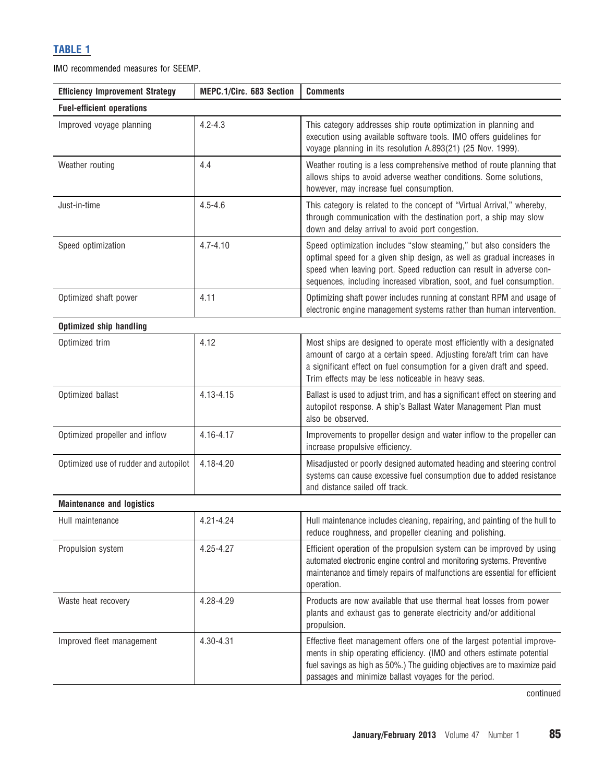# TABLE 1

IMO recommended measures for SEEMP.

| <b>Efficiency Improvement Strategy</b> | MEPC.1/Circ. 683 Section | <b>Comments</b>                                                                                                                                                                                                                                                                               |  |
|----------------------------------------|--------------------------|-----------------------------------------------------------------------------------------------------------------------------------------------------------------------------------------------------------------------------------------------------------------------------------------------|--|
| <b>Fuel-efficient operations</b>       |                          |                                                                                                                                                                                                                                                                                               |  |
| Improved voyage planning               | $4.2 - 4.3$              | This category addresses ship route optimization in planning and<br>execution using available software tools. IMO offers guidelines for<br>voyage planning in its resolution A.893(21) (25 Nov. 1999).                                                                                         |  |
| Weather routing                        | 4.4                      | Weather routing is a less comprehensive method of route planning that<br>allows ships to avoid adverse weather conditions. Some solutions,<br>however, may increase fuel consumption.                                                                                                         |  |
| Just-in-time                           | $4.5 - 4.6$              | This category is related to the concept of "Virtual Arrival," whereby,<br>through communication with the destination port, a ship may slow<br>down and delay arrival to avoid port congestion.                                                                                                |  |
| Speed optimization                     | $4.7 - 4.10$             | Speed optimization includes "slow steaming," but also considers the<br>optimal speed for a given ship design, as well as gradual increases in<br>speed when leaving port. Speed reduction can result in adverse con-<br>sequences, including increased vibration, soot, and fuel consumption. |  |
| Optimized shaft power                  | 4.11                     | Optimizing shaft power includes running at constant RPM and usage of<br>electronic engine management systems rather than human intervention.                                                                                                                                                  |  |
| <b>Optimized ship handling</b>         |                          |                                                                                                                                                                                                                                                                                               |  |
| Optimized trim                         | 4.12                     | Most ships are designed to operate most efficiently with a designated<br>amount of cargo at a certain speed. Adjusting fore/aft trim can have<br>a significant effect on fuel consumption for a given draft and speed.<br>Trim effects may be less noticeable in heavy seas.                  |  |
| Optimized ballast                      | 4.13-4.15                | Ballast is used to adjust trim, and has a significant effect on steering and<br>autopilot response. A ship's Ballast Water Management Plan must<br>also be observed.                                                                                                                          |  |
| Optimized propeller and inflow         | 4.16-4.17                | Improvements to propeller design and water inflow to the propeller can<br>increase propulsive efficiency.                                                                                                                                                                                     |  |
| Optimized use of rudder and autopilot  | 4.18-4.20                | Misadjusted or poorly designed automated heading and steering control<br>systems can cause excessive fuel consumption due to added resistance<br>and distance sailed off track.                                                                                                               |  |
| <b>Maintenance and logistics</b>       |                          |                                                                                                                                                                                                                                                                                               |  |
| Hull maintenance                       | 4.21-4.24                | Hull maintenance includes cleaning, repairing, and painting of the hull to<br>reduce roughness, and propeller cleaning and polishing.                                                                                                                                                         |  |
| Propulsion system                      | 4.25-4.27                | Efficient operation of the propulsion system can be improved by using<br>automated electronic engine control and monitoring systems. Preventive<br>maintenance and timely repairs of malfunctions are essential for efficient<br>operation.                                                   |  |
| Waste heat recovery                    | 4.28-4.29                | Products are now available that use thermal heat losses from power<br>plants and exhaust gas to generate electricity and/or additional<br>propulsion.                                                                                                                                         |  |
| Improved fleet management              | 4.30-4.31                | Effective fleet management offers one of the largest potential improve-<br>ments in ship operating efficiency. (IMO and others estimate potential<br>fuel savings as high as 50%.) The guiding objectives are to maximize paid<br>passages and minimize ballast voyages for the period.       |  |

continued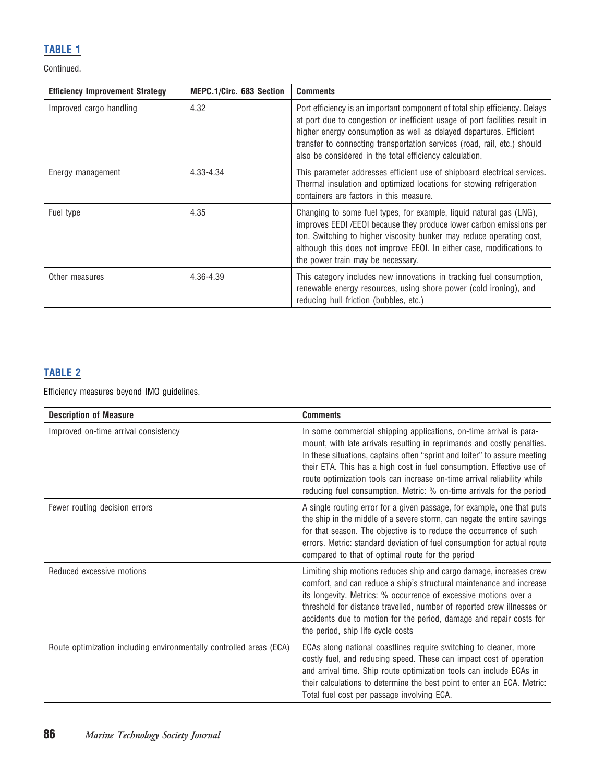# TABLE 1

Continued.

| <b>Efficiency Improvement Strategy</b> | MEPC.1/Circ. 683 Section | <b>Comments</b>                                                                                                                                                                                                                                                                                                                                                        |
|----------------------------------------|--------------------------|------------------------------------------------------------------------------------------------------------------------------------------------------------------------------------------------------------------------------------------------------------------------------------------------------------------------------------------------------------------------|
| Improved cargo handling                | 4.32                     | Port efficiency is an important component of total ship efficiency. Delays<br>at port due to congestion or inefficient usage of port facilities result in<br>higher energy consumption as well as delayed departures. Efficient<br>transfer to connecting transportation services (road, rail, etc.) should<br>also be considered in the total efficiency calculation. |
| Energy management                      | 4.33-4.34                | This parameter addresses efficient use of shipboard electrical services.<br>Thermal insulation and optimized locations for stowing refrigeration<br>containers are factors in this measure.                                                                                                                                                                            |
| Fuel type                              | 4.35                     | Changing to some fuel types, for example, liquid natural gas (LNG),<br>improves EEDI /EEOI because they produce lower carbon emissions per<br>ton. Switching to higher viscosity bunker may reduce operating cost,<br>although this does not improve EEOI. In either case, modifications to<br>the power train may be necessary.                                       |
| Other measures                         | 4.36-4.39                | This category includes new innovations in tracking fuel consumption,<br>renewable energy resources, using shore power (cold ironing), and<br>reducing hull friction (bubbles, etc.)                                                                                                                                                                                    |

# TABLE 2

Efficiency measures beyond IMO guidelines.

| <b>Description of Measure</b>                                       | <b>Comments</b>                                                                                                                                                                                                                                                                                                                                                                                                                                        |  |
|---------------------------------------------------------------------|--------------------------------------------------------------------------------------------------------------------------------------------------------------------------------------------------------------------------------------------------------------------------------------------------------------------------------------------------------------------------------------------------------------------------------------------------------|--|
| Improved on-time arrival consistency                                | In some commercial shipping applications, on-time arrival is para-<br>mount, with late arrivals resulting in reprimands and costly penalties.<br>In these situations, captains often "sprint and loiter" to assure meeting<br>their ETA. This has a high cost in fuel consumption. Effective use of<br>route optimization tools can increase on-time arrival reliability while<br>reducing fuel consumption. Metric: % on-time arrivals for the period |  |
| Fewer routing decision errors                                       | A single routing error for a given passage, for example, one that puts<br>the ship in the middle of a severe storm, can negate the entire savings<br>for that season. The objective is to reduce the occurrence of such<br>errors. Metric: standard deviation of fuel consumption for actual route<br>compared to that of optimal route for the period                                                                                                 |  |
| Reduced excessive motions                                           | Limiting ship motions reduces ship and cargo damage, increases crew<br>comfort, and can reduce a ship's structural maintenance and increase<br>its longevity. Metrics: % occurrence of excessive motions over a<br>threshold for distance travelled, number of reported crew illnesses or<br>accidents due to motion for the period, damage and repair costs for<br>the period, ship life cycle costs                                                  |  |
| Route optimization including environmentally controlled areas (ECA) | ECAs along national coastlines require switching to cleaner, more<br>costly fuel, and reducing speed. These can impact cost of operation<br>and arrival time. Ship route optimization tools can include ECAs in<br>their calculations to determine the best point to enter an ECA. Metric:<br>Total fuel cost per passage involving ECA.                                                                                                               |  |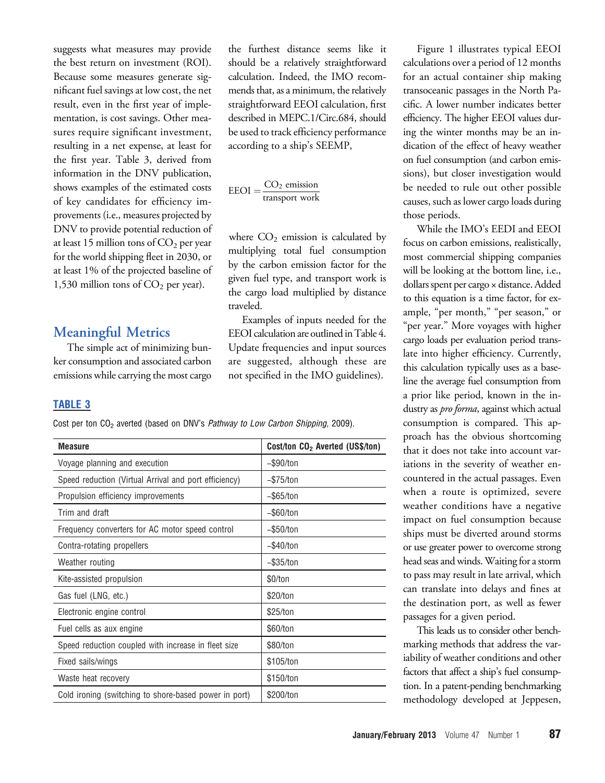suggests what measures may provide the best return on investment (ROI). Because some measures generate significant fuel savings at low cost, the net result, even in the first year of implementation, is cost savings. Other measures require significant investment, resulting in a net expense, at least for the first year. Table 3, derived from information in the DNV publication, shows examples of the estimated costs of key candidates for efficiency improvements (i.e., measures projected by DNV to provide potential reduction of at least 15 million tons of  $CO<sub>2</sub>$  per year for the world shipping fleet in 2030, or at least 1% of the projected baseline of 1,530 million tons of  $CO<sub>2</sub>$  per year).

#### Meaningful Metrics

The simple act of minimizing bunker consumption and associated carbon emissions while carrying the most cargo

the furthest distance seems like it should be a relatively straightforward calculation. Indeed, the IMO recommends that, as a minimum, the relatively straightforward EEOI calculation, first described in MEPC.1/Circ.684, should be used to track efficiency performance according to a ship's SEEMP,

$$
EEOI = \frac{CO_2 \text{ emission}}{\text{transport work}}
$$

where  $CO<sub>2</sub>$  emission is calculated by multiplying total fuel consumption by the carbon emission factor for the given fuel type, and transport work is the cargo load multiplied by distance traveled.

Examples of inputs needed for the EEOI calculation are outlined in Table 4. Update frequencies and input sources are suggested, although these are not specified in the IMO guidelines).

TABLE 3

Cost per ton CO<sub>2</sub> averted (based on DNV's Pathway to Low Carbon Shipping, 2009).

| <b>Measure</b>                                        | Cost/ton CO <sub>2</sub> Averted (US\$/ton) |  |
|-------------------------------------------------------|---------------------------------------------|--|
| Voyage planning and execution                         | $-$ \$90/ton                                |  |
| Speed reduction (Virtual Arrival and port efficiency) | $-$ \$75/ton                                |  |
| Propulsion efficiency improvements                    | $-$ \$65/ton                                |  |
| Trim and draft                                        | $-$ \$60/ton                                |  |
| Frequency converters for AC motor speed control       | $-$ \$50/ton                                |  |
| Contra-rotating propellers                            | $-$ \$40/ton                                |  |
| Weather routing                                       | $-$ \$35/ton                                |  |
| Kite-assisted propulsion                              | \$0/ton                                     |  |
| Gas fuel (LNG, etc.)                                  | \$20/ton                                    |  |
| Electronic engine control                             | \$25/ton                                    |  |
| Fuel cells as aux engine                              | \$60/ton                                    |  |
| Speed reduction coupled with increase in fleet size   | \$80/ton                                    |  |
| Fixed sails/wings                                     | \$105/ton                                   |  |
| Waste heat recovery                                   | \$150/ton                                   |  |
| Cold ironing (switching to shore-based power in port) | \$200/ton                                   |  |

Figure 1 illustrates typical EEOI calculations over a period of 12 months for an actual container ship making transoceanic passages in the North Pacific. A lower number indicates better efficiency. The higher EEOI values during the winter months may be an indication of the effect of heavy weather on fuel consumption (and carbon emissions), but closer investigation would be needed to rule out other possible causes, such as lower cargo loads during those periods.

While the IMO's EEDI and EEOI focus on carbon emissions, realistically, most commercial shipping companies will be looking at the bottom line, i.e., dollars spent per cargo × distance. Added to this equation is a time factor, for example, "per month," "per season," or "per year." More voyages with higher cargo loads per evaluation period translate into higher efficiency. Currently, this calculation typically uses as a baseline the average fuel consumption from a prior like period, known in the industry as *pro forma*, against which actual consumption is compared. This approach has the obvious shortcoming that it does not take into account variations in the severity of weather encountered in the actual passages. Even when a route is optimized, severe weather conditions have a negative impact on fuel consumption because ships must be diverted around storms or use greater power to overcome strong head seas and winds. Waiting for a storm to pass may result in late arrival, which can translate into delays and fines at the destination port, as well as fewer passages for a given period.

This leads us to consider other benchmarking methods that address the variability of weather conditions and other factors that affect a ship's fuel consumption. In a patent-pending benchmarking methodology developed at Jeppesen,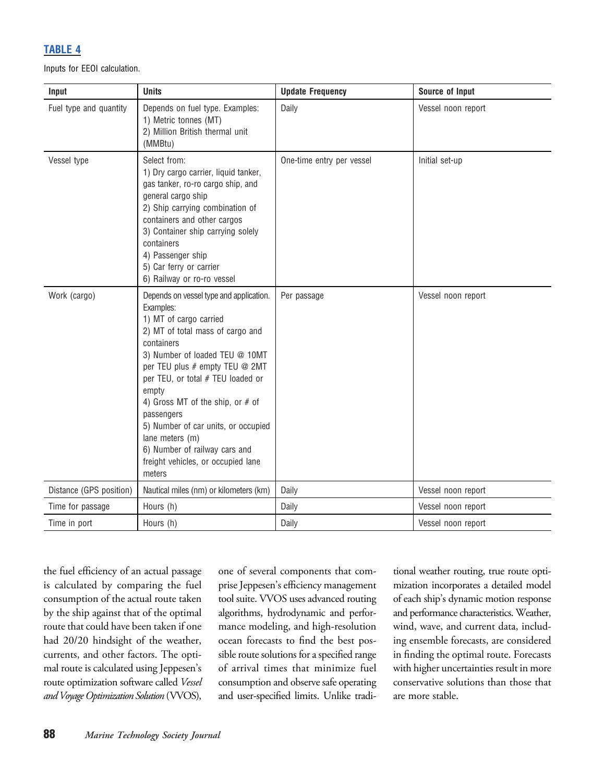# TABLE 4

Inputs for EEOI calculation.

| Input                   | <b>Units</b>                                                                                                                                                                                                                                                                                                                                                                                                                                    | <b>Update Frequency</b>   | <b>Source of Input</b> |
|-------------------------|-------------------------------------------------------------------------------------------------------------------------------------------------------------------------------------------------------------------------------------------------------------------------------------------------------------------------------------------------------------------------------------------------------------------------------------------------|---------------------------|------------------------|
| Fuel type and quantity  | Depends on fuel type. Examples:<br>1) Metric tonnes (MT)<br>2) Million British thermal unit<br>(MMBtu)                                                                                                                                                                                                                                                                                                                                          | Daily                     | Vessel noon report     |
| Vessel type             | Select from:<br>1) Dry cargo carrier, liquid tanker,<br>gas tanker, ro-ro cargo ship, and<br>general cargo ship<br>2) Ship carrying combination of<br>containers and other cargos<br>3) Container ship carrying solely<br>containers<br>4) Passenger ship<br>5) Car ferry or carrier<br>6) Railway or ro-ro vessel                                                                                                                              | One-time entry per vessel | Initial set-up         |
| Work (cargo)            | Depends on vessel type and application.<br>Examples:<br>1) MT of cargo carried<br>2) MT of total mass of cargo and<br>containers<br>3) Number of loaded TEU @ 10MT<br>per TEU plus # empty TEU @ 2MT<br>per TEU, or total # TEU loaded or<br>empty<br>4) Gross MT of the ship, or # of<br>passengers<br>5) Number of car units, or occupied<br>lane meters (m)<br>6) Number of railway cars and<br>freight vehicles, or occupied lane<br>meters | Per passage               | Vessel noon report     |
| Distance (GPS position) | Nautical miles (nm) or kilometers (km)                                                                                                                                                                                                                                                                                                                                                                                                          | Daily                     | Vessel noon report     |
| Time for passage        | Hours (h)                                                                                                                                                                                                                                                                                                                                                                                                                                       | Daily                     | Vessel noon report     |
| Time in port            | Hours (h)                                                                                                                                                                                                                                                                                                                                                                                                                                       | Daily                     | Vessel noon report     |

the fuel efficiency of an actual passage is calculated by comparing the fuel consumption of the actual route taken by the ship against that of the optimal route that could have been taken if one had 20/20 hindsight of the weather, currents, and other factors. The optimal route is calculated using Jeppesen's route optimization software called Vessel and Voyage Optimization Solution (VVOS),

one of several components that comprise Jeppesen's efficiency management tool suite. VVOS uses advanced routing algorithms, hydrodynamic and performance modeling, and high-resolution ocean forecasts to find the best possible route solutions for a specified range of arrival times that minimize fuel consumption and observe safe operating and user-specified limits. Unlike traditional weather routing, true route optimization incorporates a detailed model of each ship's dynamic motion response and performance characteristics. Weather, wind, wave, and current data, including ensemble forecasts, are considered in finding the optimal route. Forecasts with higher uncertainties result in more conservative solutions than those that are more stable.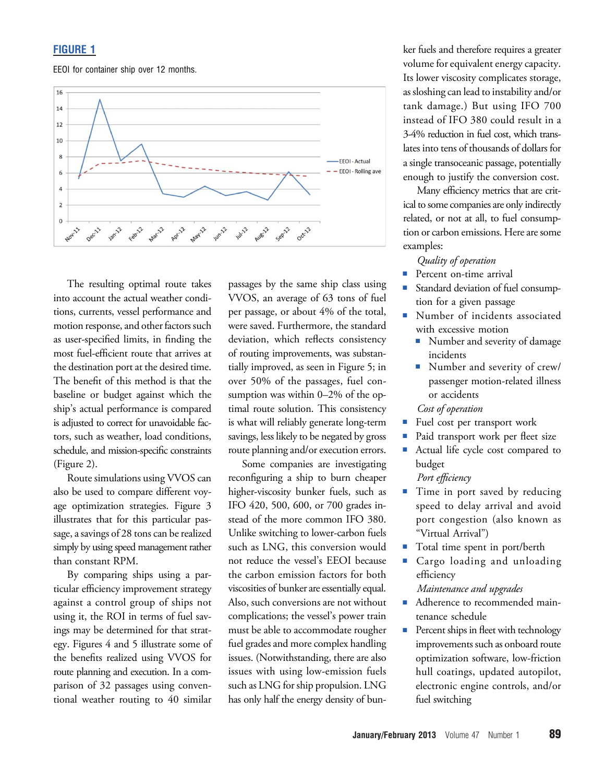EEOI for container ship over 12 months.



The resulting optimal route takes into account the actual weather conditions, currents, vessel performance and motion response, and other factors such as user-specified limits, in finding the most fuel-efficient route that arrives at the destination port at the desired time. The benefit of this method is that the baseline or budget against which the ship's actual performance is compared is adjusted to correct for unavoidable factors, such as weather, load conditions, schedule, and mission-specific constraints (Figure 2).

Route simulations using VVOS can also be used to compare different voyage optimization strategies. Figure 3 illustrates that for this particular passage, a savings of 28 tons can be realized simply by using speed management rather than constant RPM.

By comparing ships using a particular efficiency improvement strategy against a control group of ships not using it, the ROI in terms of fuel savings may be determined for that strategy. Figures 4 and 5 illustrate some of the benefits realized using VVOS for route planning and execution. In a comparison of 32 passages using conventional weather routing to 40 similar

passages by the same ship class using VVOS, an average of 63 tons of fuel per passage, or about 4% of the total, were saved. Furthermore, the standard deviation, which reflects consistency of routing improvements, was substantially improved, as seen in Figure 5; in over 50% of the passages, fuel consumption was within 0–2% of the optimal route solution. This consistency is what will reliably generate long-term savings, less likely to be negated by gross route planning and/or execution errors.

Some companies are investigating reconfiguring a ship to burn cheaper higher-viscosity bunker fuels, such as IFO 420, 500, 600, or 700 grades instead of the more common IFO 380. Unlike switching to lower-carbon fuels such as LNG, this conversion would not reduce the vessel's EEOI because the carbon emission factors for both viscosities of bunker are essentially equal. Also, such conversions are not without complications; the vessel's power train must be able to accommodate rougher fuel grades and more complex handling issues. (Notwithstanding, there are also issues with using low-emission fuels such as LNG for ship propulsion. LNG has only half the energy density of bunker fuels and therefore requires a greater volume for equivalent energy capacity. Its lower viscosity complicates storage, as sloshing can lead to instability and/or tank damage.) But using IFO 700 instead of IFO 380 could result in a 3-4% reduction in fuel cost, which translates into tens of thousands of dollars for a single transoceanic passage, potentially enough to justify the conversion cost.

Many efficiency metrics that are critical to some companies are only indirectly related, or not at all, to fuel consumption or carbon emissions. Here are some examples:

Quality of operation

- Percent on-time arrival
- Standard deviation of fuel consumption for a given passage
- Number of incidents associated with excessive motion
	- Number and severity of damage incidents
	- Number and severity of crew/ passenger motion-related illness or accidents

Cost of operation

- Fuel cost per transport work
- Paid transport work per fleet size Actual life cycle cost compared to budget

#### Port efficiency

- Time in port saved by reducing speed to delay arrival and avoid port congestion (also known as "Virtual Arrival")
- Total time spent in port/berth
- Cargo loading and unloading efficiency

#### Maintenance and upgrades

- Adherence to recommended maintenance schedule
- Percent ships in fleet with technology improvements such as onboard route optimization software, low-friction hull coatings, updated autopilot, electronic engine controls, and/or fuel switching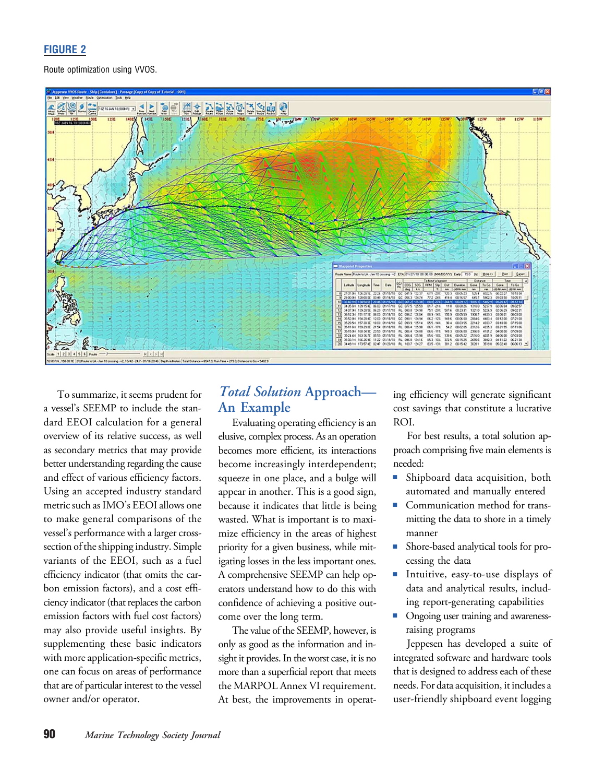Route optimization using VVOS.



To summarize, it seems prudent for a vessel's SEEMP to include the standard EEOI calculation for a general overview of its relative success, as well as secondary metrics that may provide better understanding regarding the cause and effect of various efficiency factors. Using an accepted industry standard metric such as IMO's EEOI allows one to make general comparisons of the vessel's performance with a larger crosssection of the shipping industry. Simple variants of the EEOI, such as a fuel efficiency indicator (that omits the carbon emission factors), and a cost efficiency indicator (that replaces the carbon emission factors with fuel cost factors) may also provide useful insights. By supplementing these basic indicators with more application-specific metrics, one can focus on areas of performance that are of particular interest to the vessel owner and/or operator.

# Total Solution Approach*—* An Example

Evaluating operating efficiency is an elusive, complex process. As an operation becomes more efficient, its interactions become increasingly interdependent; squeeze in one place, and a bulge will appear in another. This is a good sign, because it indicates that little is being wasted. What is important is to maximize efficiency in the areas of highest priority for a given business, while mitigating losses in the less important ones. A comprehensive SEEMP can help operators understand how to do this with confidence of achieving a positive outcome over the long term.

The value of the SEEMP, however, is only as good as the information and insight it provides. In the worst case, it is no more than a superficial report that meets the MARPOL Annex VI requirement. At best, the improvements in operating efficiency will generate significant cost savings that constitute a lucrative ROI.

For best results, a total solution approach comprising five main elements is needed:

- Shipboard data acquisition, both automated and manually entered
- Communication method for transmitting the data to shore in a timely manner
- Shore-based analytical tools for processing the data
- Intuitive, easy-to-use displays of data and analytical results, including report-generating capabilities
- Ongoing user training and awarenessraising programs

Jeppesen has developed a suite of integrated software and hardware tools that is designed to address each of these needs. For data acquisition, it includes a user-friendly shipboard event logging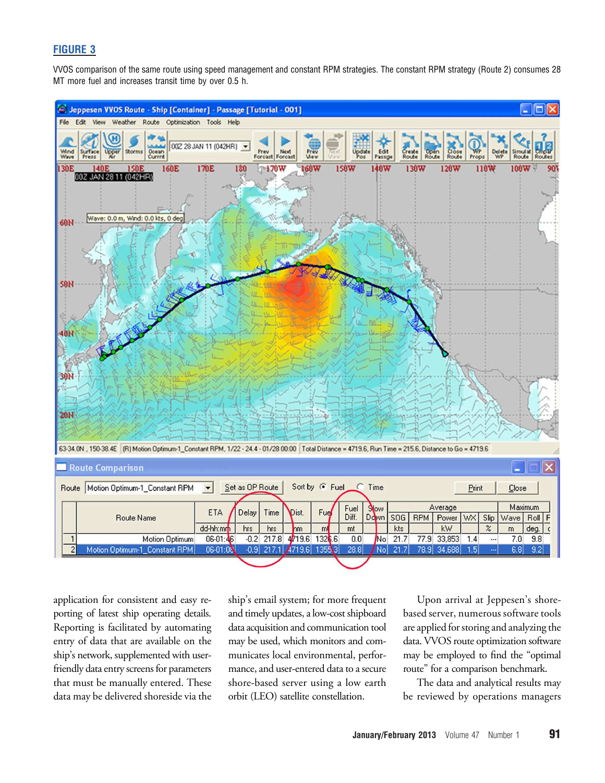VVOS comparison of the same route using speed management and constant RPM strategies. The constant RPM strategy (Route 2) consumes 28 MT more fuel and increases transit time by over 0.5 h.



application for consistent and easy reporting of latest ship operating details. Reporting is facilitated by automating entry of data that are available on the ship's network, supplemented with userfriendly data entry screens for parameters that must be manually entered. These data may be delivered shoreside via the

ship's email system; for more frequent and timely updates, a low-cost shipboard data acquisition and communication tool may be used, which monitors and communicates local environmental, performance, and user-entered data to a secure shore-based server using a low earth orbit (LEO) satellite constellation.

Upon arrival at Jeppesen's shorebased server, numerous software tools are applied for storing and analyzing the data. VVOS route optimization software may be employed to find the "optimal route" for a comparison benchmark.

The data and analytical results may be reviewed by operations managers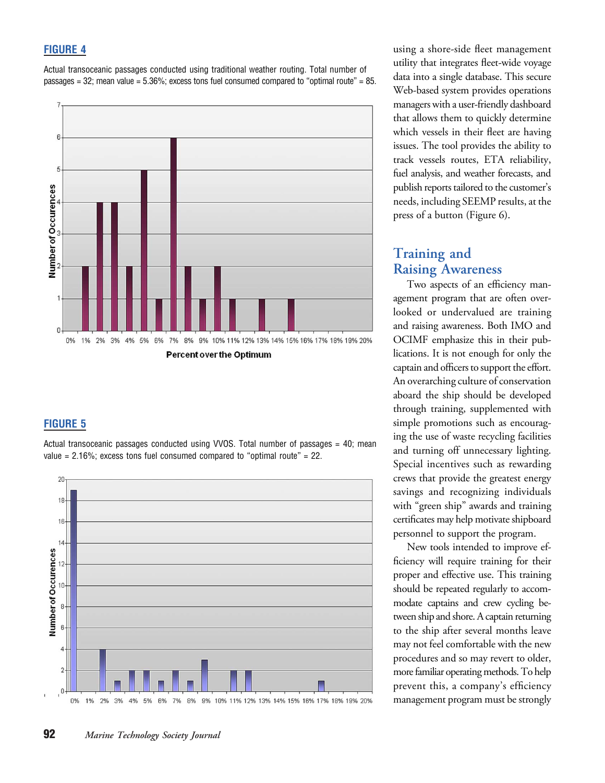Actual transoceanic passages conducted using traditional weather routing. Total number of passages = 32; mean value = 5.36%; excess tons fuel consumed compared to "optimal route" = 85.



#### FIGURE 5

Actual transoceanic passages conducted using VVOS. Total number of passages = 40; mean value = 2.16%; excess tons fuel consumed compared to "optimal route" = 22.



using a shore-side fleet management utility that integrates fleet-wide voyage data into a single database. This secure Web-based system provides operations managers with a user-friendly dashboard that allows them to quickly determine which vessels in their fleet are having issues. The tool provides the ability to track vessels routes, ETA reliability, fuel analysis, and weather forecasts, and publish reports tailored to the customer's needs, including SEEMP results, at the press of a button (Figure 6).

# Training and Raising Awareness

Two aspects of an efficiency management program that are often overlooked or undervalued are training and raising awareness. Both IMO and OCIMF emphasize this in their publications. It is not enough for only the captain and officers to support the effort. An overarching culture of conservation aboard the ship should be developed through training, supplemented with simple promotions such as encouraging the use of waste recycling facilities and turning off unnecessary lighting. Special incentives such as rewarding crews that provide the greatest energy savings and recognizing individuals with "green ship" awards and training certificates may help motivate shipboard personnel to support the program.

New tools intended to improve efficiency will require training for their proper and effective use. This training should be repeated regularly to accommodate captains and crew cycling between ship and shore. A captain returning to the ship after several months leave may not feel comfortable with the new procedures and so may revert to older, more familiar operating methods. To help prevent this, a company's efficiency management program must be strongly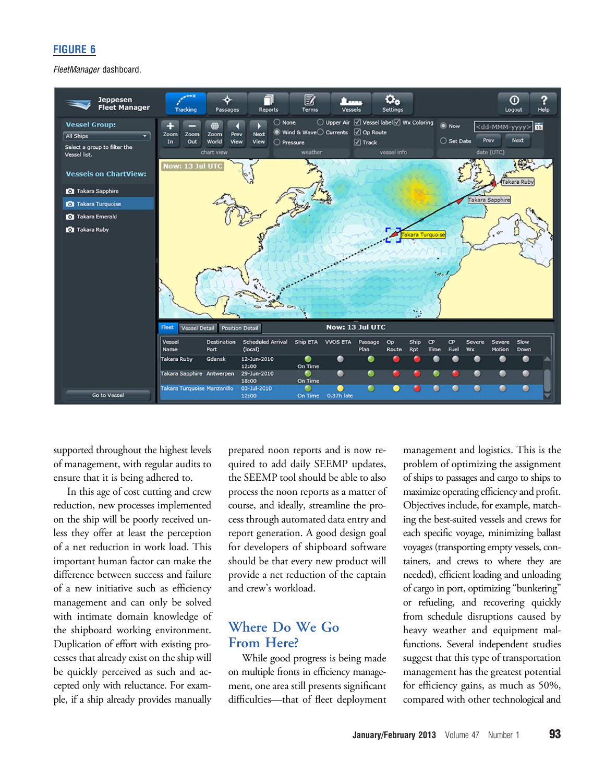FleetManager dashboard.



supported throughout the highest levels of management, with regular audits to ensure that it is being adhered to.

In this age of cost cutting and crew reduction, new processes implemented on the ship will be poorly received unless they offer at least the perception of a net reduction in work load. This important human factor can make the difference between success and failure of a new initiative such as efficiency management and can only be solved with intimate domain knowledge of the shipboard working environment. Duplication of effort with existing processes that already exist on the ship will be quickly perceived as such and accepted only with reluctance. For example, if a ship already provides manually

prepared noon reports and is now required to add daily SEEMP updates, the SEEMP tool should be able to also process the noon reports as a matter of course, and ideally, streamline the process through automated data entry and report generation. A good design goal for developers of shipboard software should be that every new product will provide a net reduction of the captain and crew's workload.

# Where Do We Go From Here?

While good progress is being made on multiple fronts in efficiency management, one area still presents significant difficulties—that of fleet deployment

management and logistics. This is the problem of optimizing the assignment of ships to passages and cargo to ships to maximize operating efficiency and profit. Objectives include, for example, matching the best-suited vessels and crews for each specific voyage, minimizing ballast voyages (transporting empty vessels, containers, and crews to where they are needed), efficient loading and unloading of cargo in port, optimizing "bunkering" or refueling, and recovering quickly from schedule disruptions caused by heavy weather and equipment malfunctions. Several independent studies suggest that this type of transportation management has the greatest potential for efficiency gains, as much as 50%, compared with other technological and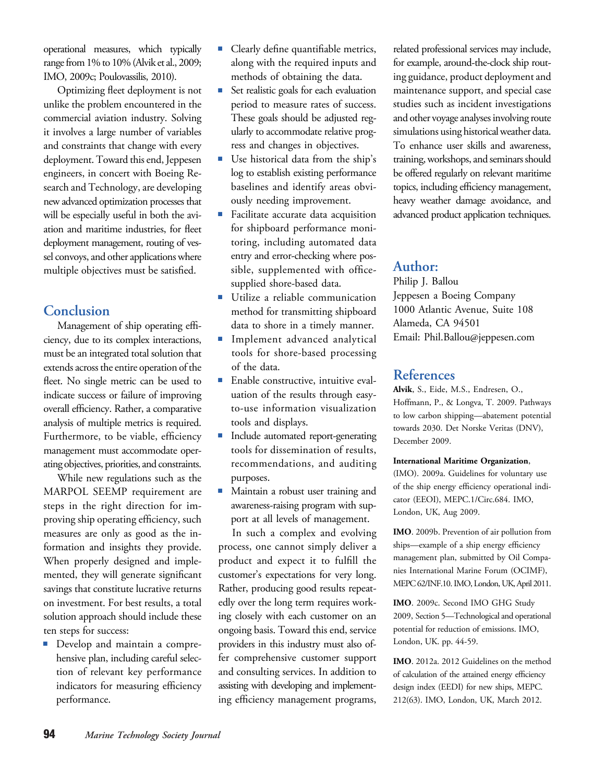operational measures, which typically range from 1% to 10% (Alvik et al., 2009; IMO, 2009c; Poulovassilis, 2010).

Optimizing fleet deployment is not unlike the problem encountered in the commercial aviation industry. Solving it involves a large number of variables and constraints that change with every deployment. Toward this end, Jeppesen engineers, in concert with Boeing Research and Technology, are developing new advanced optimization processes that will be especially useful in both the aviation and maritime industries, for fleet deployment management, routing of vessel convoys, and other applications where multiple objectives must be satisfied.

# **Conclusion**

Management of ship operating efficiency, due to its complex interactions, must be an integrated total solution that extends across the entire operation of the fleet. No single metric can be used to indicate success or failure of improving overall efficiency. Rather, a comparative analysis of multiple metrics is required. Furthermore, to be viable, efficiency management must accommodate operating objectives, priorities, and constraints.

While new regulations such as the MARPOL SEEMP requirement are steps in the right direction for improving ship operating efficiency, such measures are only as good as the information and insights they provide. When properly designed and implemented, they will generate significant savings that constitute lucrative returns on investment. For best results, a total solution approach should include these ten steps for success:

■ Develop and maintain a comprehensive plan, including careful selection of relevant key performance indicators for measuring efficiency performance.

- Clearly define quantifiable metrics, along with the required inputs and methods of obtaining the data.
- Set realistic goals for each evaluation period to measure rates of success. These goals should be adjusted regularly to accommodate relative progress and changes in objectives.
- Use historical data from the ship's log to establish existing performance baselines and identify areas obviously needing improvement.
- Facilitate accurate data acquisition for shipboard performance monitoring, including automated data entry and error-checking where possible, supplemented with officesupplied shore-based data.
- Utilize a reliable communication method for transmitting shipboard data to shore in a timely manner.
- Implement advanced analytical tools for shore-based processing of the data.
- Enable constructive, intuitive evaluation of the results through easyto-use information visualization tools and displays.
- Include automated report-generating tools for dissemination of results, recommendations, and auditing purposes.
- Maintain a robust user training and awareness-raising program with support at all levels of management.

In such a complex and evolving process, one cannot simply deliver a product and expect it to fulfill the customer's expectations for very long. Rather, producing good results repeatedly over the long term requires working closely with each customer on an ongoing basis. Toward this end, service providers in this industry must also offer comprehensive customer support and consulting services. In addition to assisting with developing and implementing efficiency management programs,

related professional services may include, for example, around-the-clock ship routing guidance, product deployment and maintenance support, and special case studies such as incident investigations and other voyage analyses involving route simulations using historical weather data. To enhance user skills and awareness, training, workshops, and seminars should be offered regularly on relevant maritime topics, including efficiency management, heavy weather damage avoidance, and advanced product application techniques.

# Author:

Philip J. Ballou Jeppesen a Boeing Company 1000 Atlantic Avenue, Suite 108 Alameda, CA 94501 Email: Phil.Ballou@jeppesen.com

# **References**

Alvik, S., Eide, M.S., Endresen, O., Hoffmann, P., & Longva, T. 2009. Pathways to low carbon shipping—abatement potential towards 2030. Det Norske Veritas (DNV), December 2009.

#### International Maritime Organization,

(IMO). 2009a. Guidelines for voluntary use of the ship energy efficiency operational indicator (EEOI), MEPC.1/Circ.684. IMO, London, UK, Aug 2009.

IMO. 2009b. Prevention of air pollution from ships—example of a ship energy efficiency management plan, submitted by Oil Companies International Marine Forum (OCIMF), MEPC 62/INF.10. IMO, London, UK, April 2011.

IMO. 2009c. Second IMO GHG Study 2009, Section 5—Technological and operational potential for reduction of emissions. IMO, London, UK. pp. 44-59.

IMO. 2012a. 2012 Guidelines on the method of calculation of the attained energy efficiency design index (EEDI) for new ships, MEPC. 212(63). IMO, London, UK, March 2012.